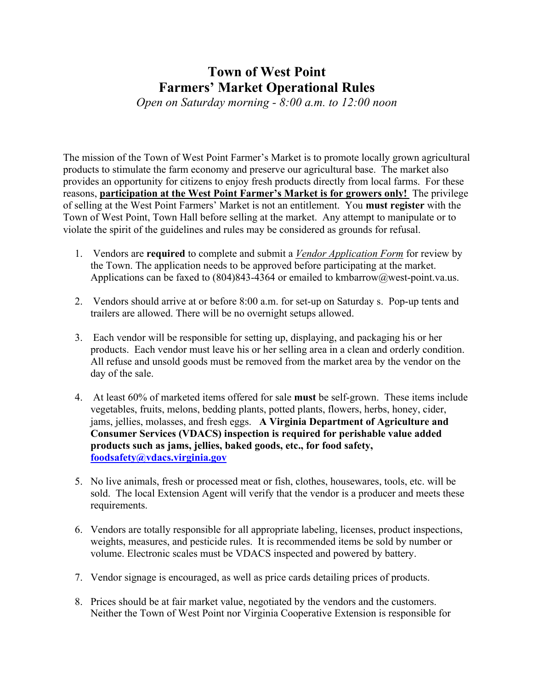## **Town of West Point Farmers' Market Operational Rules**

*Open on Saturday morning - 8:00 a.m. to 12:00 noon*

The mission of the Town of West Point Farmer's Market is to promote locally grown agricultural products to stimulate the farm economy and preserve our agricultural base. The market also provides an opportunity for citizens to enjoy fresh products directly from local farms. For these reasons, **participation at the West Point Farmer's Market is for growers only!** The privilege of selling at the West Point Farmers' Market is not an entitlement. You **must register** with the Town of West Point, Town Hall before selling at the market. Any attempt to manipulate or to violate the spirit of the guidelines and rules may be considered as grounds for refusal.

- 1. Vendors are **required** to complete and submit a *Vendor Application Form* for review by the Town. The application needs to be approved before participating at the market. Applications can be faxed to  $(804)843-4364$  or emailed to kmbarrow $@$ west-point.va.us.
- 2. Vendors should arrive at or before 8:00 a.m. for set-up on Saturday s. Pop-up tents and trailers are allowed. There will be no overnight setups allowed.
- 3. Each vendor will be responsible for setting up, displaying, and packaging his or her products. Each vendor must leave his or her selling area in a clean and orderly condition. All refuse and unsold goods must be removed from the market area by the vendor on the day of the sale.
- 4. At least 60% of marketed items offered for sale **must** be self-grown. These items include vegetables, fruits, melons, bedding plants, potted plants, flowers, herbs, honey, cider, jams, jellies, molasses, and fresh eggs. **A Virginia Department of Agriculture and Consumer Services (VDACS) inspection is required for perishable value added products such as jams, jellies, baked goods, etc., for food safety, foodsafety@vdacs.virginia.gov**
- 5. No live animals, fresh or processed meat or fish, clothes, housewares, tools, etc. will be sold. The local Extension Agent will verify that the vendor is a producer and meets these requirements.
- 6. Vendors are totally responsible for all appropriate labeling, licenses, product inspections, weights, measures, and pesticide rules. It is recommended items be sold by number or volume. Electronic scales must be VDACS inspected and powered by battery.
- 7. Vendor signage is encouraged, as well as price cards detailing prices of products.
- 8. Prices should be at fair market value, negotiated by the vendors and the customers. Neither the Town of West Point nor Virginia Cooperative Extension is responsible for